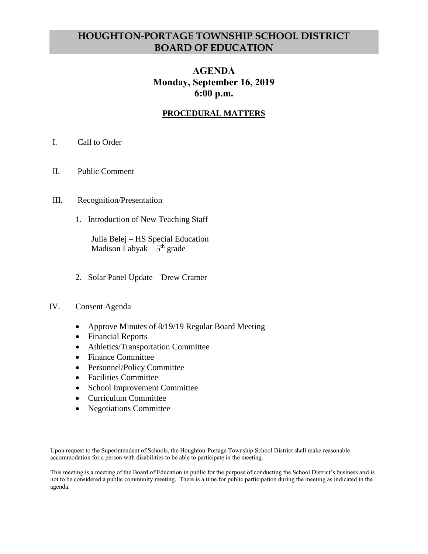# **HOUGHTON-PORTAGE TOWNSHIP SCHOOL DISTRICT BOARD OF EDUCATION**

## **AGENDA Monday, September 16, 2019 6:00 p.m.**

## **PROCEDURAL MATTERS**

- I. Call to Order
- II. Public Comment
- III. Recognition/Presentation
	- 1. Introduction of New Teaching Staff

Julia Belej – HS Special Education Madison Labyak – 5<sup>th</sup> grade

2. Solar Panel Update – Drew Cramer

### IV. Consent Agenda

- Approve Minutes of 8/19/19 Regular Board Meeting
- Financial Reports
- Athletics/Transportation Committee
- Finance Committee
- Personnel/Policy Committee
- Facilities Committee
- School Improvement Committee
- Curriculum Committee
- Negotiations Committee

Upon request to the Superintendent of Schools, the Houghton-Portage Township School District shall make reasonable accommodation for a person with disabilities to be able to participate in the meeting.

This meeting is a meeting of the Board of Education in public for the purpose of conducting the School District's business and is not to be considered a public community meeting. There is a time for public participation during the meeting as indicated in the agenda.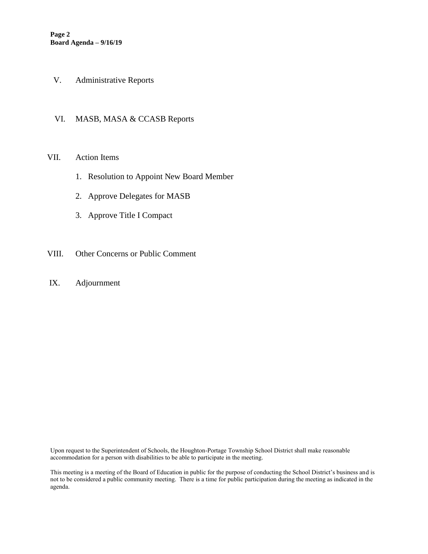- V. Administrative Reports
- VI. MASB, MASA & CCASB Reports

#### VII. Action Items

- 1. Resolution to Appoint New Board Member
- 2. Approve Delegates for MASB
- 3. Approve Title I Compact
- VIII. Other Concerns or Public Comment
- IX. Adjournment

Upon request to the Superintendent of Schools, the Houghton-Portage Township School District shall make reasonable accommodation for a person with disabilities to be able to participate in the meeting.

This meeting is a meeting of the Board of Education in public for the purpose of conducting the School District's business and is not to be considered a public community meeting. There is a time for public participation during the meeting as indicated in the agenda.